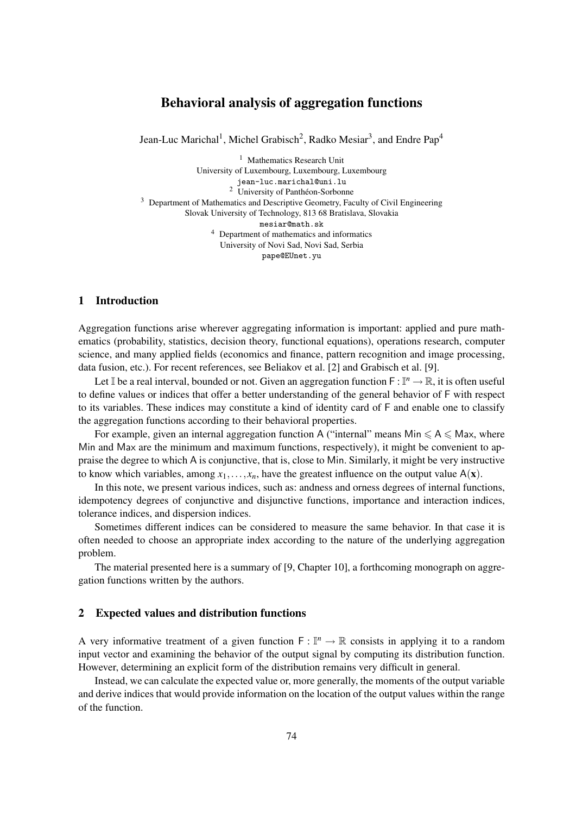# Behavioral analysis of aggregation functions

Jean-Luc Marichal<sup>1</sup>, Michel Grabisch<sup>2</sup>, Radko Mesiar<sup>3</sup>, and Endre Pap<sup>4</sup>

<sup>1</sup> Mathematics Research Unit University of Luxembourg, Luxembourg, Luxembourg jean-luc.marichal@uni.lu <sup>2</sup> University of Panthéon-Sorbonne <sup>3</sup> Department of Mathematics and Descriptive Geometry, Faculty of Civil Engineering Slovak University of Technology, 813 68 Bratislava, Slovakia mesiar@math.sk <sup>4</sup> Department of mathematics and informatics University of Novi Sad, Novi Sad, Serbia pape@EUnet.yu

# 1 Introduction

Aggregation functions arise wherever aggregating information is important: applied and pure mathematics (probability, statistics, decision theory, functional equations), operations research, computer science, and many applied fields (economics and finance, pattern recognition and image processing, data fusion, etc.). For recent references, see Beliakov et al. [2] and Grabisch et al. [9].

Let I be a real interval, bounded or not. Given an aggregation function  $F : I^n \to \mathbb{R}$ , it is often useful to define values or indices that offer a better understanding of the general behavior of F with respect to its variables. These indices may constitute a kind of identity card of F and enable one to classify the aggregation functions according to their behavioral properties.

For example, given an internal aggregation function A ("internal" means  $Min \leq A \leq Max$ , where Min and Max are the minimum and maximum functions, respectively), it might be convenient to appraise the degree to which A is conjunctive, that is, close to Min. Similarly, it might be very instructive to know which variables, among  $x_1, \ldots, x_n$ , have the greatest influence on the output value  $A(x)$ .

In this note, we present various indices, such as: andness and orness degrees of internal functions, idempotency degrees of conjunctive and disjunctive functions, importance and interaction indices, tolerance indices, and dispersion indices.

Sometimes different indices can be considered to measure the same behavior. In that case it is often needed to choose an appropriate index according to the nature of the underlying aggregation problem.

The material presented here is a summary of [9, Chapter 10], a forthcoming monograph on aggregation functions written by the authors.

### 2 Expected values and distribution functions

A very informative treatment of a given function  $F: \mathbb{I}^n \to \mathbb{R}$  consists in applying it to a random input vector and examining the behavior of the output signal by computing its distribution function. However, determining an explicit form of the distribution remains very difficult in general.

Instead, we can calculate the expected value or, more generally, the moments of the output variable and derive indices that would provide information on the location of the output values within the range of the function.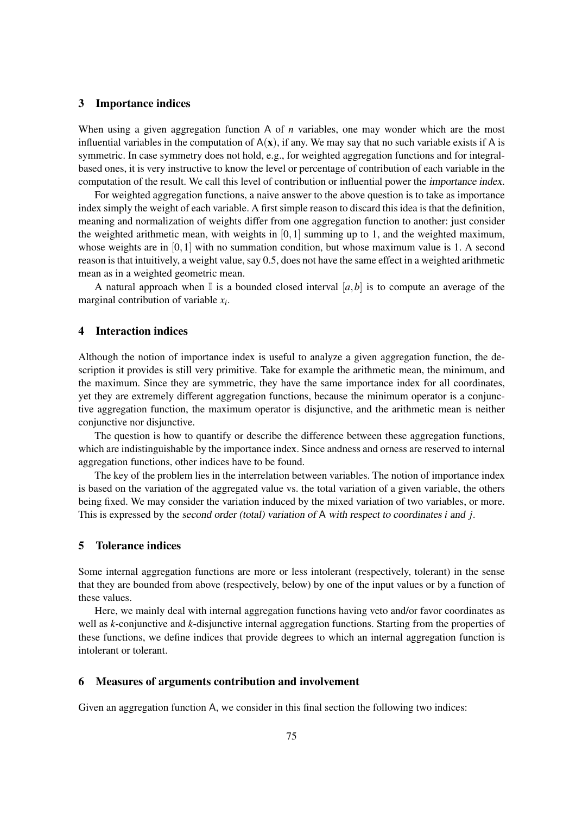### 3 Importance indices

When using a given aggregation function A of *n* variables, one may wonder which are the most influential variables in the computation of  $A(x)$ , if any. We may say that no such variable exists if A is symmetric. In case symmetry does not hold, e.g., for weighted aggregation functions and for integralbased ones, it is very instructive to know the level or percentage of contribution of each variable in the computation of the result. We call this level of contribution or influential power the importance index.

For weighted aggregation functions, a naive answer to the above question is to take as importance index simply the weight of each variable. A first simple reason to discard this idea is that the definition, meaning and normalization of weights differ from one aggregation function to another: just consider the weighted arithmetic mean, with weights in  $[0,1]$  summing up to 1, and the weighted maximum, whose weights are in  $[0,1]$  with no summation condition, but whose maximum value is 1. A second reason is that intuitively, a weight value, say 0.5, does not have the same effect in a weighted arithmetic mean as in a weighted geometric mean.

A natural approach when  $\mathbb{I}$  is a bounded closed interval  $[a,b]$  is to compute an average of the marginal contribution of variable *x<sup>i</sup>* .

#### 4 Interaction indices

Although the notion of importance index is useful to analyze a given aggregation function, the description it provides is still very primitive. Take for example the arithmetic mean, the minimum, and the maximum. Since they are symmetric, they have the same importance index for all coordinates, yet they are extremely different aggregation functions, because the minimum operator is a conjunctive aggregation function, the maximum operator is disjunctive, and the arithmetic mean is neither conjunctive nor disjunctive.

The question is how to quantify or describe the difference between these aggregation functions, which are indistinguishable by the importance index. Since andness and orness are reserved to internal aggregation functions, other indices have to be found.

The key of the problem lies in the interrelation between variables. The notion of importance index is based on the variation of the aggregated value vs. the total variation of a given variable, the others being fixed. We may consider the variation induced by the mixed variation of two variables, or more. This is expressed by the second order (total) variation of A with respect to coordinates *i* and *j*.

## 5 Tolerance indices

Some internal aggregation functions are more or less intolerant (respectively, tolerant) in the sense that they are bounded from above (respectively, below) by one of the input values or by a function of these values.

Here, we mainly deal with internal aggregation functions having veto and/or favor coordinates as well as *k*-conjunctive and *k*-disjunctive internal aggregation functions. Starting from the properties of these functions, we define indices that provide degrees to which an internal aggregation function is intolerant or tolerant.

#### 6 Measures of arguments contribution and involvement

Given an aggregation function A, we consider in this final section the following two indices: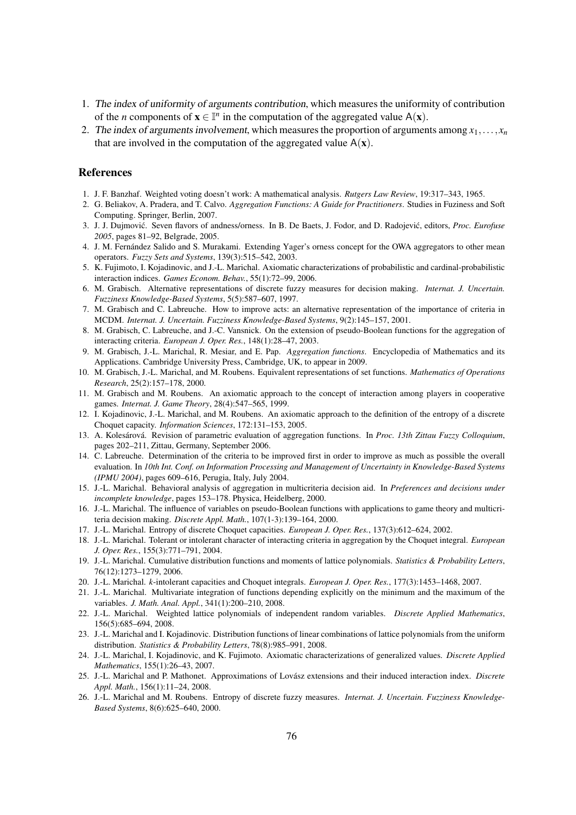- 1. The index of uniformity of arguments contribution, which measures the uniformity of contribution of the *n* components of  $\mathbf{x} \in \mathbb{I}^n$  in the computation of the aggregated value  $A(\mathbf{x})$ .
- 2. The index of arguments involvement, which measures the proportion of arguments among  $x_1, \ldots, x_n$ that are involved in the computation of the aggregated value  $A(x)$ .

#### References

- 1. J. F. Banzhaf. Weighted voting doesn't work: A mathematical analysis. *Rutgers Law Review*, 19:317–343, 1965.
- 2. G. Beliakov, A. Pradera, and T. Calvo. *Aggregation Functions: A Guide for Practitioners*. Studies in Fuziness and Soft Computing. Springer, Berlin, 2007.
- 3. J. J. Dujmović. Seven flavors of andness/orness. In B. De Baets, J. Fodor, and D. Radojević, editors, *Proc. Eurofuse 2005*, pages 81–92, Belgrade, 2005.
- 4. J. M. Fernandez Salido and S. Murakami. Extending Yager's orness concept for the OWA aggregators to other mean ´ operators. *Fuzzy Sets and Systems*, 139(3):515–542, 2003.
- 5. K. Fujimoto, I. Kojadinovic, and J.-L. Marichal. Axiomatic characterizations of probabilistic and cardinal-probabilistic interaction indices. *Games Econom. Behav.*, 55(1):72–99, 2006.
- 6. M. Grabisch. Alternative representations of discrete fuzzy measures for decision making. *Internat. J. Uncertain. Fuzziness Knowledge-Based Systems*, 5(5):587–607, 1997.
- 7. M. Grabisch and C. Labreuche. How to improve acts: an alternative representation of the importance of criteria in MCDM. *Internat. J. Uncertain. Fuzziness Knowledge-Based Systems*, 9(2):145–157, 2001.
- 8. M. Grabisch, C. Labreuche, and J.-C. Vansnick. On the extension of pseudo-Boolean functions for the aggregation of interacting criteria. *European J. Oper. Res.*, 148(1):28–47, 2003.
- 9. M. Grabisch, J.-L. Marichal, R. Mesiar, and E. Pap. *Aggregation functions*. Encyclopedia of Mathematics and its Applications. Cambridge University Press, Cambridge, UK, to appear in 2009.
- 10. M. Grabisch, J.-L. Marichal, and M. Roubens. Equivalent representations of set functions. *Mathematics of Operations Research*, 25(2):157–178, 2000.
- 11. M. Grabisch and M. Roubens. An axiomatic approach to the concept of interaction among players in cooperative games. *Internat. J. Game Theory*, 28(4):547–565, 1999.
- 12. I. Kojadinovic, J.-L. Marichal, and M. Roubens. An axiomatic approach to the definition of the entropy of a discrete Choquet capacity. *Information Sciences*, 172:131–153, 2005.
- 13. A. Kolesárová. Revision of parametric evaluation of aggregation functions. In *Proc. 13th Zittau Fuzzy Colloquium*, pages 202–211, Zittau, Germany, September 2006.
- 14. C. Labreuche. Determination of the criteria to be improved first in order to improve as much as possible the overall evaluation. In *10th Int. Conf. on Information Processing and Management of Uncertainty in Knowledge-Based Systems (IPMU 2004)*, pages 609–616, Perugia, Italy, July 2004.
- 15. J.-L. Marichal. Behavioral analysis of aggregation in multicriteria decision aid. In *Preferences and decisions under incomplete knowledge*, pages 153–178. Physica, Heidelberg, 2000.
- 16. J.-L. Marichal. The influence of variables on pseudo-Boolean functions with applications to game theory and multicriteria decision making. *Discrete Appl. Math.*, 107(1-3):139–164, 2000.
- 17. J.-L. Marichal. Entropy of discrete Choquet capacities. *European J. Oper. Res.*, 137(3):612–624, 2002.
- 18. J.-L. Marichal. Tolerant or intolerant character of interacting criteria in aggregation by the Choquet integral. *European J. Oper. Res.*, 155(3):771–791, 2004.
- 19. J.-L. Marichal. Cumulative distribution functions and moments of lattice polynomials. *Statistics & Probability Letters*, 76(12):1273–1279, 2006.
- 20. J.-L. Marichal. *k*-intolerant capacities and Choquet integrals. *European J. Oper. Res.*, 177(3):1453–1468, 2007.
- 21. J.-L. Marichal. Multivariate integration of functions depending explicitly on the minimum and the maximum of the variables. *J. Math. Anal. Appl.*, 341(1):200–210, 2008.
- 22. J.-L. Marichal. Weighted lattice polynomials of independent random variables. *Discrete Applied Mathematics*, 156(5):685–694, 2008.
- 23. J.-L. Marichal and I. Kojadinovic. Distribution functions of linear combinations of lattice polynomials from the uniform distribution. *Statistics & Probability Letters*, 78(8):985–991, 2008.
- 24. J.-L. Marichal, I. Kojadinovic, and K. Fujimoto. Axiomatic characterizations of generalized values. *Discrete Applied Mathematics*, 155(1):26–43, 2007.
- 25. J.-L. Marichal and P. Mathonet. Approximations of Lovász extensions and their induced interaction index. *Discrete Appl. Math.*, 156(1):11–24, 2008.
- 26. J.-L. Marichal and M. Roubens. Entropy of discrete fuzzy measures. *Internat. J. Uncertain. Fuzziness Knowledge-Based Systems*, 8(6):625–640, 2000.